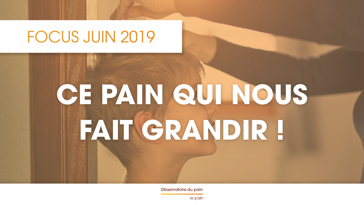#### FOCUS JUIN 2019

## CE PAIN QUI NOUS FAIT GRANDIR !

Observatoire du pain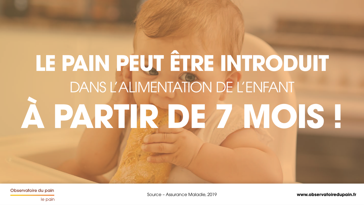## LE PAIN PEUT ÊTRE INTRODUIT DANS L'ALIMENTATION DE L'ENFANT A PARTIR DE 7 MOIS !

Observatoire du pain

www.observatoiredupain.fr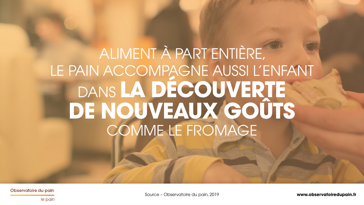### ALIMENT À PART ENTIÈRE, LE PAIN ACCOMPAGNE AUSSI L'ENFANT DANS **LA DÉCOUVERTE DE NOUVEAUX GOÛTS** COMME LE FROMAGE

Observatoire du pain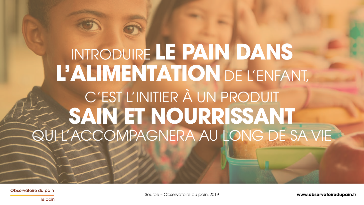## INTRODUIRE **LE PAIN DANS L'ALIMENTATION** DE L'ENFANT, C'EST L'INITIER À UN PRODUIT **SAIN ET NOURRISSANT** QUI L'ACCOMPAGNERA AU LONG DE SA VIE

Observatoire du pain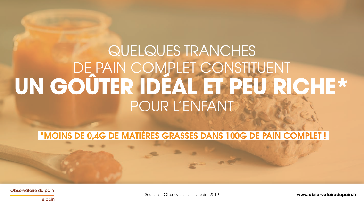#### QUELQUES TRANCHES DE PAIN COMPLET CONSTITUENT **UN GOÛTER IDÉAL ET PEU RICHE\*** POUR L'ENFANT

#### \*MOINS DE 0,4G DE MATIÈRES GRASSES DANS 100G DE PAIN COMPLET !

Observatoire du pain

Source – Observatoire du pain, 2019 **www.observatoiredupain.fr**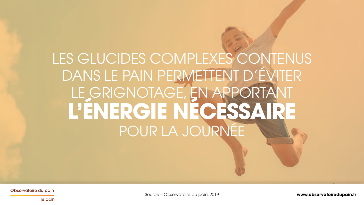### LES GLUCIDES COMPLEXES CONTENUS DANS LE PAIN PERMETTENT D'ÉVITER LE GRIGNOTAGE, EN APPORTANT **L'ÉNERGIE NÉCESSAIRE** POUR LA JOURNÉE

Observatoire du pain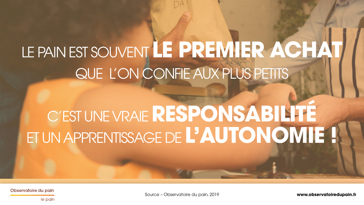## LE PAIN EST SOUVENT **LE PREMIER ACHAT** QUE L'ON CONFIE AUX PLUS PETITS

## C'EST UNE VRAIE **RESPONSABILITÉ** ET UN APPRENTISSAGE DE **L'AUTONOMIE !**

Observatoire du pain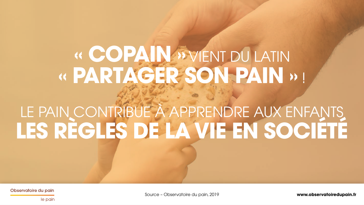# « COPAIN » VIENT DU LATIN<br>« PARTAGER SON PAIN » !

# LE PAIN CONTRIBUE À APPRENDRE AUX ENFANTS

Observatoire du pain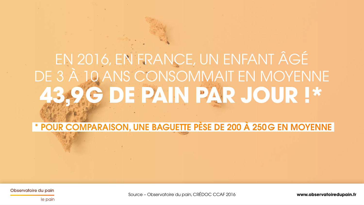## EN 2016, EN FRANCE, UN ENFANT ÂGÉ DE 3 À 10 ANS CONSOMMAIT EN MOYENNE G DE PAIN PAR JOUR !\*

\* POUR COMPARAISON, UNE BAGUETTE PÈSE DE 200 À 250 G EN MOYENNE

Observatoire du pain

Source - Observatoire du pain, CRÉDOC CCAF 2016

www.observatoiredupain.fr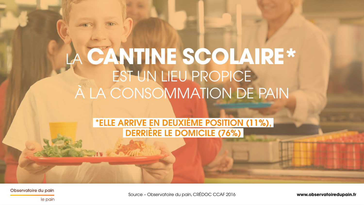### LA **CANTINE SCOLAIRE\*** EST UN LIEU PROPICE À LA CONSOMMATION DE PAIN

#### \*ELLE ARRIVE EN DEUXIÈME POSITION (11%), DERRIÈRE LE DOMICILE (76%)

Observatoire du pain

Source – Observatoire du pain, CRÉDOC CCAF 2016 **www.observatoiredupain.fr**